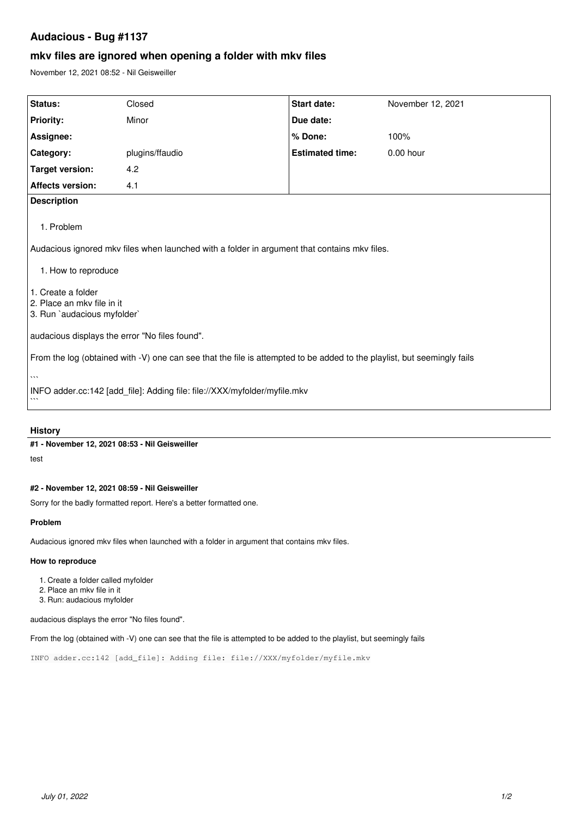## **Audacious - Bug #1137**

# **mkv files are ignored when opening a folder with mkv files**

November 12, 2021 08:52 - Nil Geisweiller

| <b>Status:</b>                                                                                                          | Closed          | <b>Start date:</b>     | November 12, 2021 |
|-------------------------------------------------------------------------------------------------------------------------|-----------------|------------------------|-------------------|
| <b>Priority:</b>                                                                                                        | Minor           | Due date:              |                   |
| Assignee:                                                                                                               |                 | % Done:                | 100%              |
| Category:                                                                                                               | plugins/ffaudio | <b>Estimated time:</b> | 0.00 hour         |
| <b>Target version:</b>                                                                                                  | 4.2             |                        |                   |
| <b>Affects version:</b>                                                                                                 | 4.1             |                        |                   |
| <b>Description</b>                                                                                                      |                 |                        |                   |
| 1. Problem                                                                                                              |                 |                        |                   |
| Audacious ignored mkv files when launched with a folder in argument that contains mkv files.                            |                 |                        |                   |
| 1. How to reproduce                                                                                                     |                 |                        |                   |
| 1. Create a folder                                                                                                      |                 |                        |                   |
| l 2. Place an mkv file in it<br>3. Run `audacious myfolder`                                                             |                 |                        |                   |
| audacious displays the error "No files found".                                                                          |                 |                        |                   |
| From the log (obtained with -V) one can see that the file is attempted to be added to the playlist, but seemingly fails |                 |                        |                   |
| $\overline{\phantom{a}}$                                                                                                |                 |                        |                   |
| INFO adder.cc:142 [add_file]: Adding file: file://XXX/myfolder/myfile.mkv                                               |                 |                        |                   |

#### **History**

**#1 - November 12, 2021 08:53 - Nil Geisweiller**

test

## **#2 - November 12, 2021 08:59 - Nil Geisweiller**

Sorry for the badly formatted report. Here's a better formatted one.

#### **Problem**

Audacious ignored mkv files when launched with a folder in argument that contains mkv files.

#### **How to reproduce**

- 1. Create a folder called myfolder
- 2. Place an mkv file in it
- 3. Run: audacious myfolder

audacious displays the error "No files found".

From the log (obtained with -V) one can see that the file is attempted to be added to the playlist, but seemingly fails

INFO adder.cc:142 [add\_file]: Adding file: file://XXX/myfolder/myfile.mkv